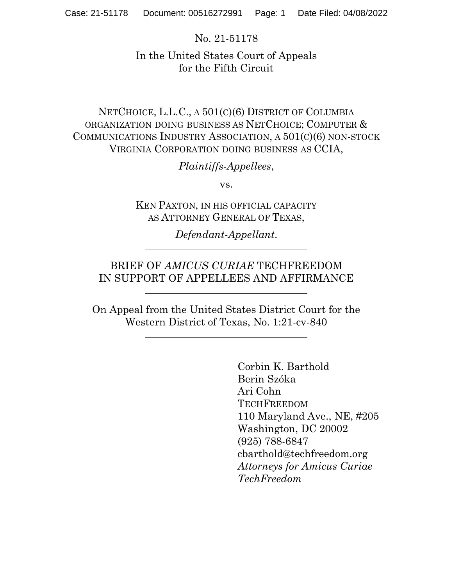No. 21-51178

In the United States Court of Appeals for the Fifth Circuit

NETCHOICE, L.L.C., A 501(C)(6) DISTRICT OF COLUMBIA ORGANIZATION DOING BUSINESS AS NETCHOICE; COMPUTER & COMMUNICATIONS INDUSTRY ASSOCIATION, A 501(C)(6) NON-STOCK VIRGINIA CORPORATION DOING BUSINESS AS CCIA,

Plaintiffs-Appellees,

vs.

KEN PAXTON, IN HIS OFFICIAL CAPACITY AS ATTORNEY GENERAL OF TEXAS,

Defendant-Appellant.

## BRIEF OF AMICUS CURIAE TECHFREEDOM IN SUPPORT OF APPELLEES AND AFFIRMANCE

On Appeal from the United States District Court for the Western District of Texas, No. 1:21-cv-840

> Corbin K. Barthold Berin Szóka Ari Cohn **TECHFREEDOM** 110 Maryland Ave., NE, #205 Washington, DC 20002 (925) 788-6847 cbarthold@techfreedom.org Attorneys for Amicus Curiae TechFreedom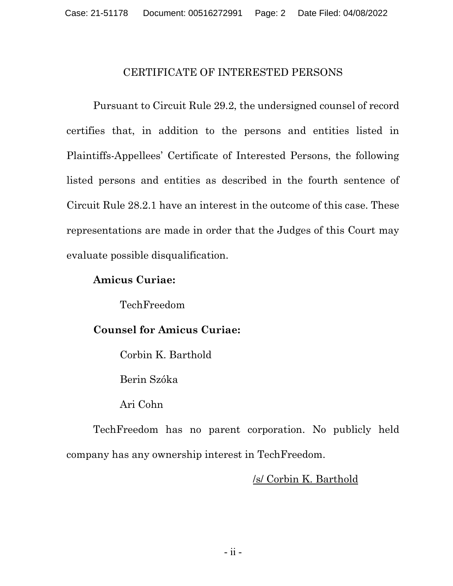### CERTIFICATE OF INTERESTED PERSONS

Pursuant to Circuit Rule 29.2, the undersigned counsel of record certifies that, in addition to the persons and entities listed in Plaintiffs-Appellees' Certificate of Interested Persons, the following listed persons and entities as described in the fourth sentence of Circuit Rule 28.2.1 have an interest in the outcome of this case. These representations are made in order that the Judges of this Court may evaluate possible disqualification.

### Amicus Curiae:

TechFreedom

### Counsel for Amicus Curiae:

Corbin K. Barthold

Berin Szóka

Ari Cohn

TechFreedom has no parent corporation. No publicly held company has any ownership interest in TechFreedom.

### /s/ Corbin K. Barthold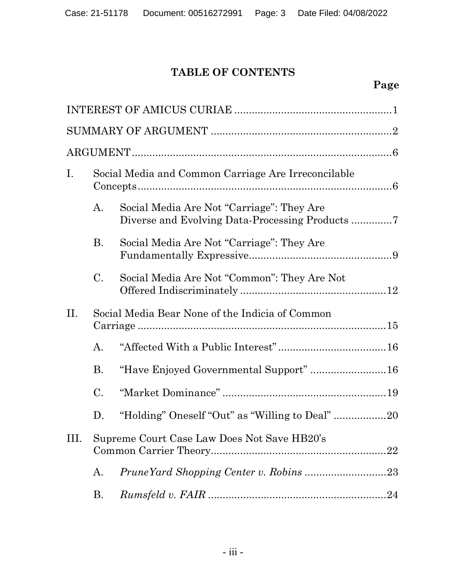# TABLE OF CONTENTS

# Page

| $\mathbf{I}$ . | Social Media and Common Carriage Are Irreconcilable |                                             |  |
|----------------|-----------------------------------------------------|---------------------------------------------|--|
|                | A.                                                  | Social Media Are Not "Carriage": They Are   |  |
|                | <b>B.</b>                                           | Social Media Are Not "Carriage": They Are   |  |
|                | $\rm C$ .                                           | Social Media Are Not "Common": They Are Not |  |
| II.            | Social Media Bear None of the Indicia of Common     |                                             |  |
|                | $\mathbf{A}$ .                                      |                                             |  |
|                | <b>B.</b>                                           | "Have Enjoyed Governmental Support"  16     |  |
|                | C.                                                  |                                             |  |
|                | D.                                                  |                                             |  |
| Ш.             | Supreme Court Case Law Does Not Save HB20's         |                                             |  |
|                | A.                                                  |                                             |  |
|                | В.                                                  |                                             |  |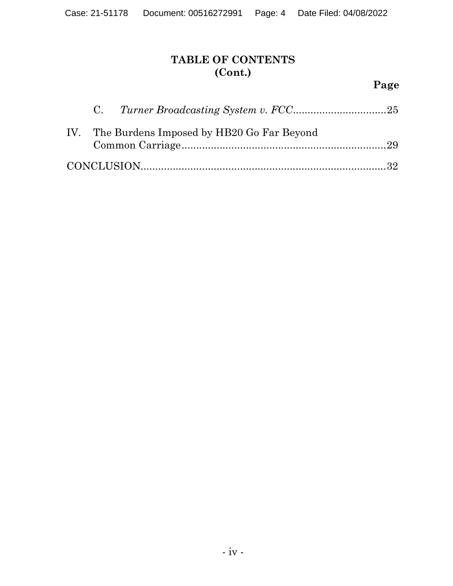# TABLE OF CONTENTS (Cont.)

# Page

|  | IV. The Burdens Imposed by HB20 Go Far Beyond |  |
|--|-----------------------------------------------|--|
|  |                                               |  |
|  |                                               |  |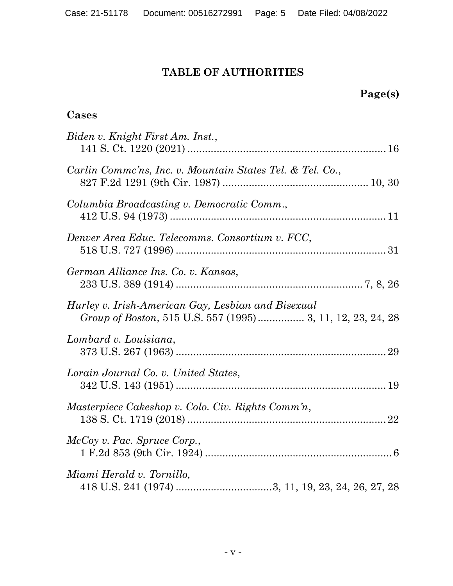## TABLE OF AUTHORITIES

# Page(s)

## Cases

| Biden v. Knight First Am. Inst.,                                                                                 |
|------------------------------------------------------------------------------------------------------------------|
| Carlin Comme'ns, Inc. v. Mountain States Tel. & Tel. Co.,                                                        |
| Columbia Broadcasting v. Democratic Comm.,                                                                       |
| Denver Area Educ. Telecomms. Consortium v. FCC,                                                                  |
| German Alliance Ins. Co. v. Kansas,                                                                              |
| Hurley v. Irish-American Gay, Lesbian and Bisexual<br>Group of Boston, 515 U.S. 557 (1995) 3, 11, 12, 23, 24, 28 |
| Lombard v. Louisiana,                                                                                            |
| Lorain Journal Co. v. United States,                                                                             |
| Masterpiece Cakeshop v. Colo. Civ. Rights Comm'n,                                                                |
| McCoy v. Pac. Spruce Corp.,                                                                                      |
| Miami Herald v. Tornillo,                                                                                        |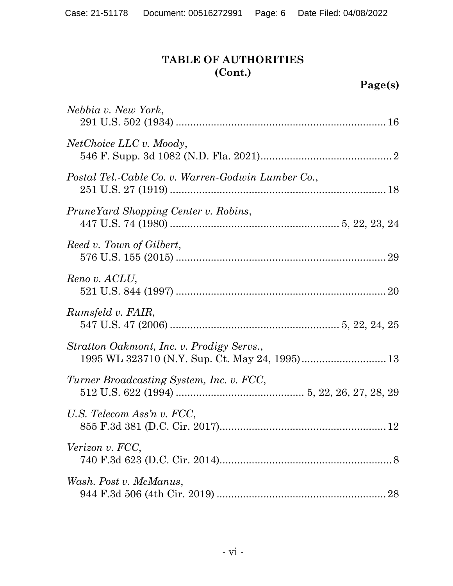# Page(s)

| Nebbia v. New York,                                |
|----------------------------------------------------|
| <i>NetChoice LLC v. Moody,</i>                     |
| Postal Tel.-Cable Co. v. Warren-Godwin Lumber Co., |
| PruneYard Shopping Center v. Robins,               |
| Reed v. Town of Gilbert,                           |
| Reno v. ACLU,                                      |
| Rumsfeld v. FAIR,                                  |
| Stratton Oakmont, Inc. v. Prodigy Servs.,          |
| Turner Broadcasting System, Inc. v. FCC,           |
| U.S. Telecom Ass'n v. FCC,                         |
| Verizon v. FCC,                                    |
| Wash. Post v. McManus,<br>28                       |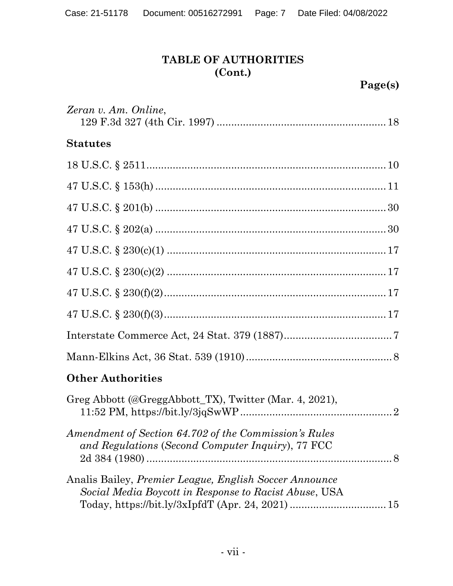# Page(s)

| Zeran v. Am. Online,                                                                                                   |
|------------------------------------------------------------------------------------------------------------------------|
| <b>Statutes</b>                                                                                                        |
|                                                                                                                        |
|                                                                                                                        |
|                                                                                                                        |
|                                                                                                                        |
|                                                                                                                        |
|                                                                                                                        |
|                                                                                                                        |
|                                                                                                                        |
|                                                                                                                        |
|                                                                                                                        |
| <b>Other Authorities</b>                                                                                               |
| Greg Abbott (@GreggAbbott_TX), Twitter (Mar. 4, 2021),                                                                 |
| Amendment of Section 64.702 of the Commission's Rules<br>and Regulations (Second Computer Inquiry), 77 FCC             |
| Analis Bailey, <i>Premier League, English Soccer Announce</i><br>Social Media Boycott in Response to Racist Abuse, USA |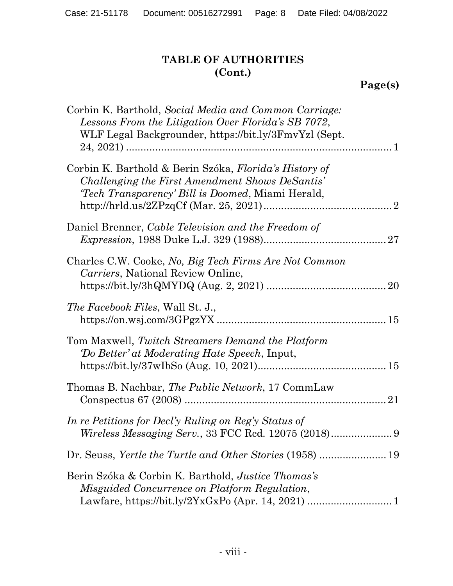Page(s)

| Corbin K. Barthold, Social Media and Common Carriage:<br>Lessons From the Litigation Over Florida's SB 7072,<br>WLF Legal Backgrounder, https://bit.ly/3FmvYzl (Sept.) |
|------------------------------------------------------------------------------------------------------------------------------------------------------------------------|
| Corbin K. Barthold & Berin Szóka, Florida's History of<br>Challenging the First Amendment Shows DeSantis'<br><i>Tech Transparency' Bill is Doomed</i> , Miami Herald,  |
| Daniel Brenner, Cable Television and the Freedom of                                                                                                                    |
| Charles C.W. Cooke, No, Big Tech Firms Are Not Common<br>Carriers, National Review Online,                                                                             |
| <i>The Facebook Files, Wall St. J.,</i>                                                                                                                                |
| Tom Maxwell, Twitch Streamers Demand the Platform<br>'Do Better' at Moderating Hate Speech, Input,                                                                     |
| Thomas B. Nachbar, The Public Network, 17 CommLaw                                                                                                                      |
| In re Petitions for Decl'y Ruling on Reg'y Status of                                                                                                                   |
|                                                                                                                                                                        |
| Berin Szóka & Corbin K. Barthold, Justice Thomas's<br>Misguided Concurrence on Platform Regulation,                                                                    |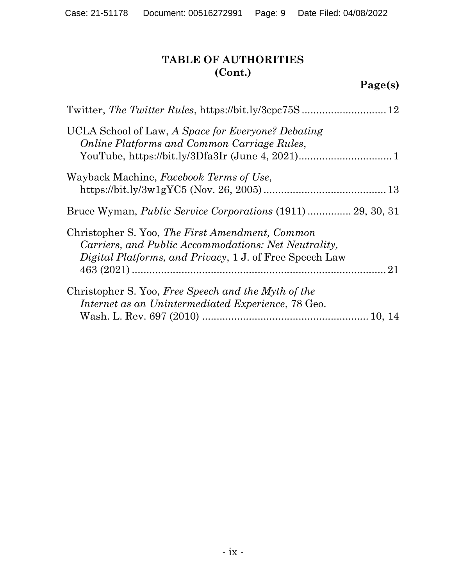| UCLA School of Law, A Space for Everyone? Debating<br>Online Platforms and Common Carriage Rules,                                                                         |
|---------------------------------------------------------------------------------------------------------------------------------------------------------------------------|
| Wayback Machine, Facebook Terms of Use,                                                                                                                                   |
| Bruce Wyman, <i>Public Service Corporations</i> (1911)  29, 30, 31                                                                                                        |
| Christopher S. Yoo, The First Amendment, Common<br>Carriers, and Public Accommodations: Net Neutrality,<br><i>Digital Platforms, and Privacy, 1 J. of Free Speech Law</i> |
| Christopher S. Yoo, Free Speech and the Myth of the<br>Internet as an Unintermediated Experience, 78 Geo.                                                                 |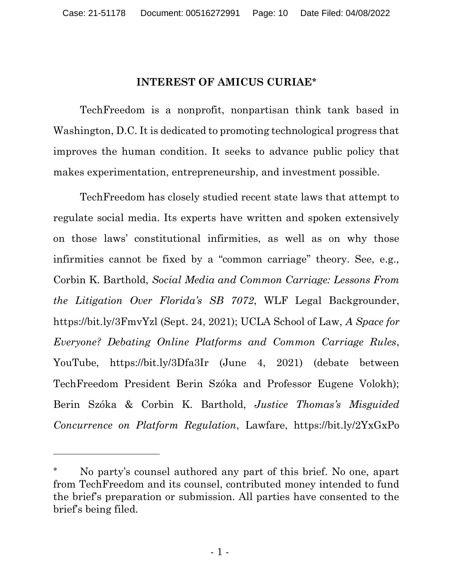### INTEREST OF AMICUS CURIAE\*

TechFreedom is a nonprofit, nonpartisan think tank based in Washington, D.C. It is dedicated to promoting technological progress that improves the human condition. It seeks to advance public policy that makes experimentation, entrepreneurship, and investment possible.

TechFreedom has closely studied recent state laws that attempt to regulate social media. Its experts have written and spoken extensively on those laws' constitutional infirmities, as well as on why those infirmities cannot be fixed by a "common carriage" theory. See, e.g., Corbin K. Barthold, Social Media and Common Carriage: Lessons From the Litigation Over Florida's SB 7072, WLF Legal Backgrounder, https://bit.ly/3FmvYzl (Sept. 24, 2021); UCLA School of Law, A Space for Everyone? Debating Online Platforms and Common Carriage Rules, YouTube, https://bit.ly/3Dfa3Ir (June 4, 2021) (debate between TechFreedom President Berin Szóka and Professor Eugene Volokh); Berin Szóka & Corbin K. Barthold, Justice Thomas's Misguided Concurrence on Platform Regulation, Lawfare, https://bit.ly/2YxGxPo

No party's counsel authored any part of this brief. No one, apart from TechFreedom and its counsel, contributed money intended to fund the brief's preparation or submission. All parties have consented to the brief's being filed.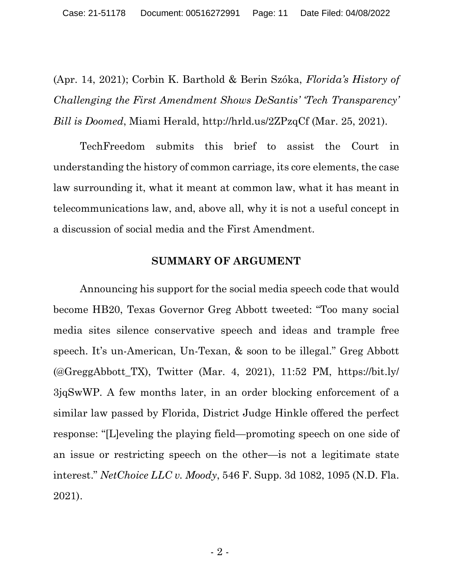(Apr. 14, 2021); Corbin K. Barthold & Berin Szóka, Florida's History of Challenging the First Amendment Shows DeSantis' 'Tech Transparency' Bill is Doomed, Miami Herald, http://hrld.us/2ZPzqCf (Mar. 25, 2021).

TechFreedom submits this brief to assist the Court in understanding the history of common carriage, its core elements, the case law surrounding it, what it meant at common law, what it has meant in telecommunications law, and, above all, why it is not a useful concept in a discussion of social media and the First Amendment.

#### SUMMARY OF ARGUMENT

Announcing his support for the social media speech code that would become HB20, Texas Governor Greg Abbott tweeted: "Too many social media sites silence conservative speech and ideas and trample free speech. It's un-American, Un-Texan, & soon to be illegal." Greg Abbott  $(\mathcal{Q}GreggAbbott TX)$ , Twitter (Mar. 4, 2021), 11:52 PM, https://bit.ly/ 3jqSwWP. A few months later, in an order blocking enforcement of a similar law passed by Florida, District Judge Hinkle offered the perfect response: "[L]eveling the playing field—promoting speech on one side of an issue or restricting speech on the other—is not a legitimate state interest." NetChoice LLC v. Moody, 546 F. Supp. 3d 1082, 1095 (N.D. Fla. 2021).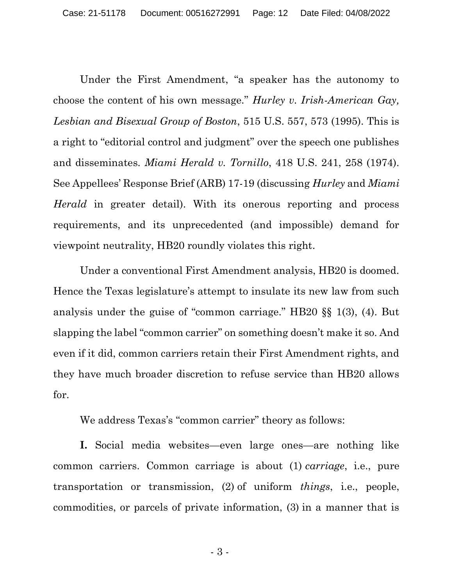Under the First Amendment, "a speaker has the autonomy to choose the content of his own message." Hurley v. Irish-American Gay, Lesbian and Bisexual Group of Boston, 515 U.S. 557, 573 (1995). This is a right to "editorial control and judgment" over the speech one publishes and disseminates. Miami Herald v. Tornillo, 418 U.S. 241, 258 (1974). See Appellees' Response Brief (ARB) 17-19 (discussing Hurley and Miami Herald in greater detail). With its onerous reporting and process requirements, and its unprecedented (and impossible) demand for viewpoint neutrality, HB20 roundly violates this right.

Under a conventional First Amendment analysis, HB20 is doomed. Hence the Texas legislature's attempt to insulate its new law from such analysis under the guise of "common carriage." HB20 §§ 1(3), (4). But slapping the label "common carrier" on something doesn't make it so. And even if it did, common carriers retain their First Amendment rights, and they have much broader discretion to refuse service than HB20 allows for.

We address Texas's "common carrier" theory as follows:

I. Social media websites—even large ones—are nothing like common carriers. Common carriage is about (1) carriage, i.e., pure transportation or transmission, (2) of uniform things, i.e., people, commodities, or parcels of private information, (3) in a manner that is

 $-3-$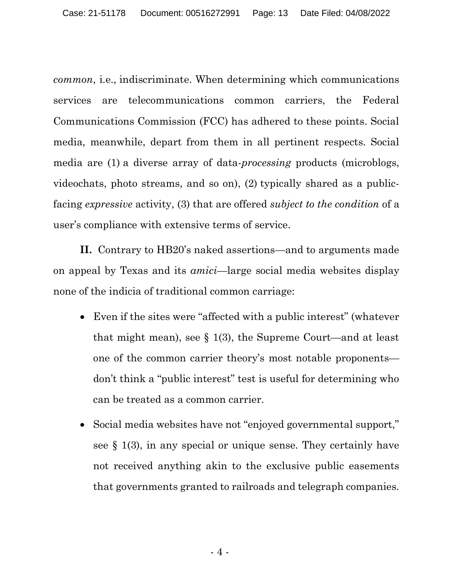common, i.e., indiscriminate. When determining which communications services are telecommunications common carriers, the Federal Communications Commission (FCC) has adhered to these points. Social media, meanwhile, depart from them in all pertinent respects. Social media are (1) a diverse array of data-processing products (microblogs, videochats, photo streams, and so on), (2) typically shared as a publicfacing expressive activity, (3) that are offered subject to the condition of a user's compliance with extensive terms of service.

II. Contrary to HB20's naked assertions—and to arguments made on appeal by Texas and its amici—large social media websites display none of the indicia of traditional common carriage:

- Even if the sites were "affected with a public interest" (whatever that might mean), see § 1(3), the Supreme Court—and at least one of the common carrier theory's most notable proponents don't think a "public interest" test is useful for determining who can be treated as a common carrier.
- Social media websites have not "enjoyed governmental support," see § 1(3), in any special or unique sense. They certainly have not received anything akin to the exclusive public easements that governments granted to railroads and telegraph companies.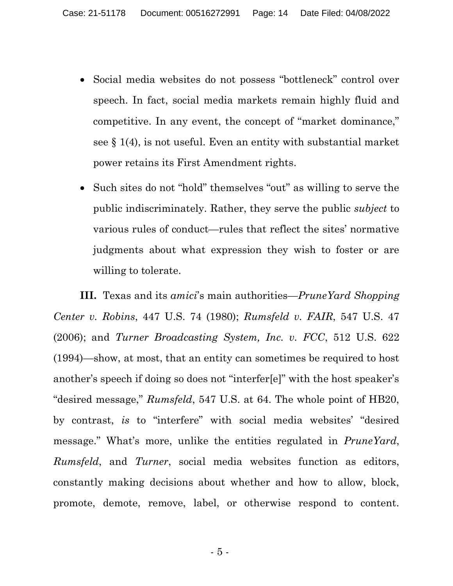- Social media websites do not possess "bottleneck" control over speech. In fact, social media markets remain highly fluid and competitive. In any event, the concept of "market dominance," see § 1(4), is not useful. Even an entity with substantial market power retains its First Amendment rights.
- Such sites do not "hold" themselves "out" as willing to serve the public indiscriminately. Rather, they serve the public subject to various rules of conduct—rules that reflect the sites' normative judgments about what expression they wish to foster or are willing to tolerate.

III. Texas and its amici's main authorities—PruneYard Shopping Center v. Robins, 447 U.S. 74 (1980); Rumsfeld v. FAIR, 547 U.S. 47 (2006); and Turner Broadcasting System, Inc. v. FCC, 512 U.S. 622 (1994)—show, at most, that an entity can sometimes be required to host another's speech if doing so does not "interfer[e]" with the host speaker's "desired message," Rumsfeld, 547 U.S. at 64. The whole point of HB20, by contrast, is to "interfere" with social media websites' "desired message." What's more, unlike the entities regulated in *PruneYard*, Rumsfeld, and Turner, social media websites function as editors, constantly making decisions about whether and how to allow, block, promote, demote, remove, label, or otherwise respond to content.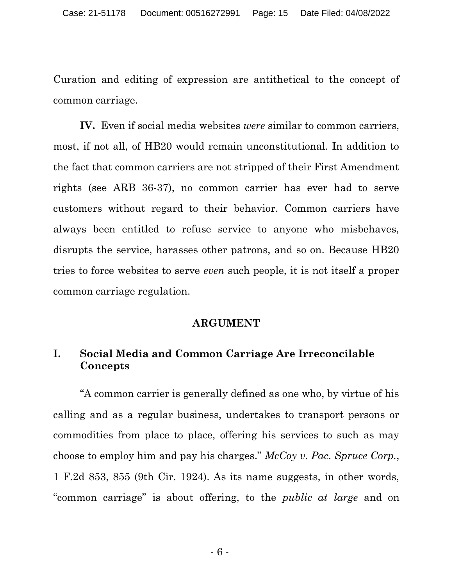Curation and editing of expression are antithetical to the concept of common carriage.

IV. Even if social media websites were similar to common carriers, most, if not all, of HB20 would remain unconstitutional. In addition to the fact that common carriers are not stripped of their First Amendment rights (see ARB 36-37), no common carrier has ever had to serve customers without regard to their behavior. Common carriers have always been entitled to refuse service to anyone who misbehaves, disrupts the service, harasses other patrons, and so on. Because HB20 tries to force websites to serve even such people, it is not itself a proper common carriage regulation.

#### ARGUMENT

## I. Social Media and Common Carriage Are Irreconcilable Concepts

"A common carrier is generally defined as one who, by virtue of his calling and as a regular business, undertakes to transport persons or commodities from place to place, offering his services to such as may choose to employ him and pay his charges." McCoy v. Pac. Spruce Corp., 1 F.2d 853, 855 (9th Cir. 1924). As its name suggests, in other words, "common carriage" is about offering, to the public at large and on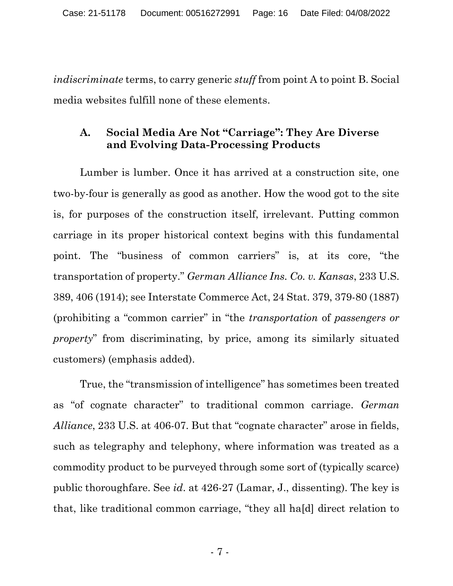indiscriminate terms, to carry generic *stuff* from point A to point B. Social media websites fulfill none of these elements.

### A. Social Media Are Not "Carriage": They Are Diverse and Evolving Data-Processing Products

Lumber is lumber. Once it has arrived at a construction site, one two-by-four is generally as good as another. How the wood got to the site is, for purposes of the construction itself, irrelevant. Putting common carriage in its proper historical context begins with this fundamental point. The "business of common carriers" is, at its core, "the transportation of property." German Alliance Ins. Co. v. Kansas, 233 U.S. 389, 406 (1914); see Interstate Commerce Act, 24 Stat. 379, 379-80 (1887) (prohibiting a "common carrier" in "the transportation of passengers or property" from discriminating, by price, among its similarly situated customers) (emphasis added).

True, the "transmission of intelligence" has sometimes been treated as "of cognate character" to traditional common carriage. German Alliance, 233 U.S. at 406-07. But that "cognate character" arose in fields, such as telegraphy and telephony, where information was treated as a commodity product to be purveyed through some sort of (typically scarce) public thoroughfare. See id. at 426-27 (Lamar, J., dissenting). The key is that, like traditional common carriage, "they all ha[d] direct relation to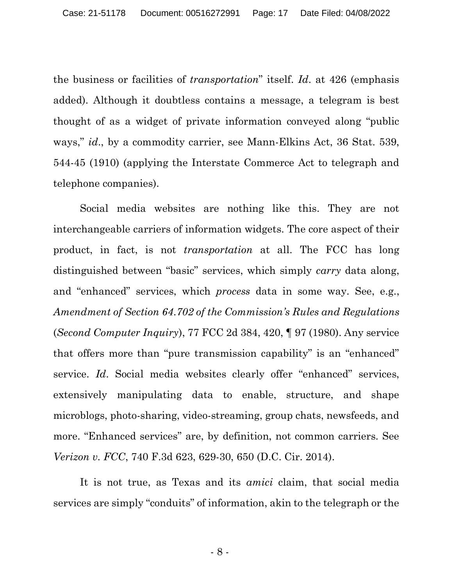the business or facilities of transportation" itself. Id. at 426 (emphasis added). Although it doubtless contains a message, a telegram is best thought of as a widget of private information conveyed along "public ways," id., by a commodity carrier, see Mann-Elkins Act, 36 Stat. 539, 544-45 (1910) (applying the Interstate Commerce Act to telegraph and telephone companies).

Social media websites are nothing like this. They are not interchangeable carriers of information widgets. The core aspect of their product, in fact, is not transportation at all. The FCC has long distinguished between "basic" services, which simply *carry* data along, and "enhanced" services, which process data in some way. See, e.g., Amendment of Section 64.702 of the Commission's Rules and Regulations (Second Computer Inquiry), 77 FCC 2d 384, 420, ¶ 97 (1980). Any service that offers more than "pure transmission capability" is an "enhanced" service. Id. Social media websites clearly offer "enhanced" services, extensively manipulating data to enable, structure, and shape microblogs, photo-sharing, video-streaming, group chats, newsfeeds, and more. "Enhanced services" are, by definition, not common carriers. See Verizon v. FCC, 740 F.3d 623, 629-30, 650 (D.C. Cir. 2014).

It is not true, as Texas and its amici claim, that social media services are simply "conduits" of information, akin to the telegraph or the

 $-8 -$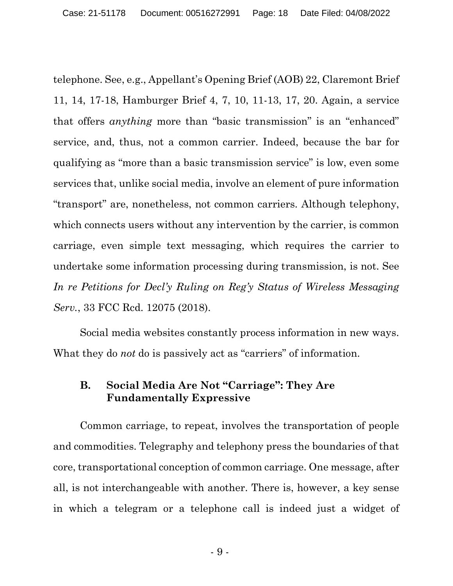telephone. See, e.g., Appellant's Opening Brief (AOB) 22, Claremont Brief 11, 14, 17-18, Hamburger Brief 4, 7, 10, 11-13, 17, 20. Again, a service that offers anything more than "basic transmission" is an "enhanced" service, and, thus, not a common carrier. Indeed, because the bar for qualifying as "more than a basic transmission service" is low, even some services that, unlike social media, involve an element of pure information "transport" are, nonetheless, not common carriers. Although telephony, which connects users without any intervention by the carrier, is common carriage, even simple text messaging, which requires the carrier to undertake some information processing during transmission, is not. See In re Petitions for Decl'y Ruling on Reg'y Status of Wireless Messaging Serv., 33 FCC Rcd. 12075 (2018).

Social media websites constantly process information in new ways. What they do *not* do is passively act as "carriers" of information.

## B. Social Media Are Not "Carriage": They Are Fundamentally Expressive

Common carriage, to repeat, involves the transportation of people and commodities. Telegraphy and telephony press the boundaries of that core, transportational conception of common carriage. One message, after all, is not interchangeable with another. There is, however, a key sense in which a telegram or a telephone call is indeed just a widget of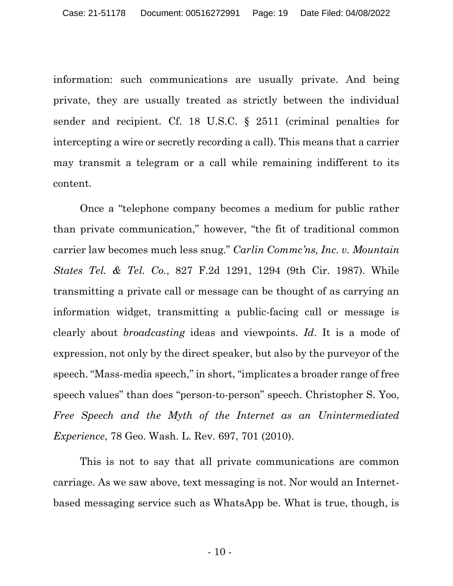information: such communications are usually private. And being private, they are usually treated as strictly between the individual sender and recipient. Cf. 18 U.S.C. § 2511 (criminal penalties for intercepting a wire or secretly recording a call). This means that a carrier may transmit a telegram or a call while remaining indifferent to its content.

Once a "telephone company becomes a medium for public rather than private communication," however, "the fit of traditional common carrier law becomes much less snug." Carlin Commc'ns, Inc. v. Mountain States Tel. & Tel. Co., 827 F.2d 1291, 1294 (9th Cir. 1987). While transmitting a private call or message can be thought of as carrying an information widget, transmitting a public-facing call or message is clearly about broadcasting ideas and viewpoints. Id. It is a mode of expression, not only by the direct speaker, but also by the purveyor of the speech. "Mass-media speech," in short, "implicates a broader range of free speech values" than does "person-to-person" speech. Christopher S. Yoo, Free Speech and the Myth of the Internet as an Unintermediated Experience, 78 Geo. Wash. L. Rev. 697, 701 (2010).

This is not to say that all private communications are common carriage. As we saw above, text messaging is not. Nor would an Internetbased messaging service such as WhatsApp be. What is true, though, is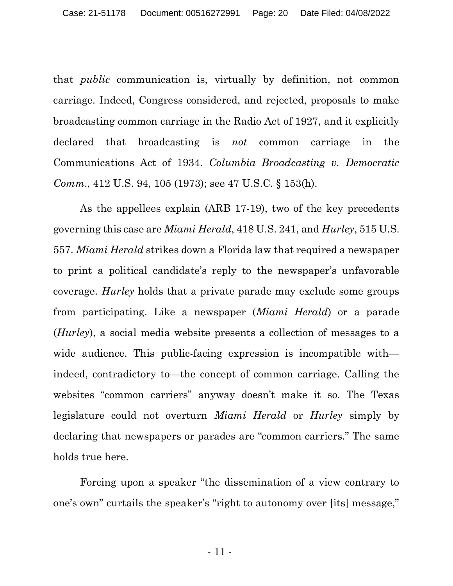that public communication is, virtually by definition, not common carriage. Indeed, Congress considered, and rejected, proposals to make broadcasting common carriage in the Radio Act of 1927, and it explicitly declared that broadcasting is *not* common carriage in the Communications Act of 1934. Columbia Broadcasting v. Democratic Comm., 412 U.S. 94, 105 (1973); see 47 U.S.C. § 153(h).

As the appellees explain (ARB 17-19), two of the key precedents governing this case are Miami Herald, 418 U.S. 241, and Hurley, 515 U.S. 557. Miami Herald strikes down a Florida law that required a newspaper to print a political candidate's reply to the newspaper's unfavorable coverage. Hurley holds that a private parade may exclude some groups from participating. Like a newspaper (Miami Herald) or a parade (Hurley), a social media website presents a collection of messages to a wide audience. This public-facing expression is incompatible with indeed, contradictory to—the concept of common carriage. Calling the websites "common carriers" anyway doesn't make it so. The Texas legislature could not overturn Miami Herald or Hurley simply by declaring that newspapers or parades are "common carriers." The same holds true here.

Forcing upon a speaker "the dissemination of a view contrary to one's own" curtails the speaker's "right to autonomy over [its] message,"

- 11 -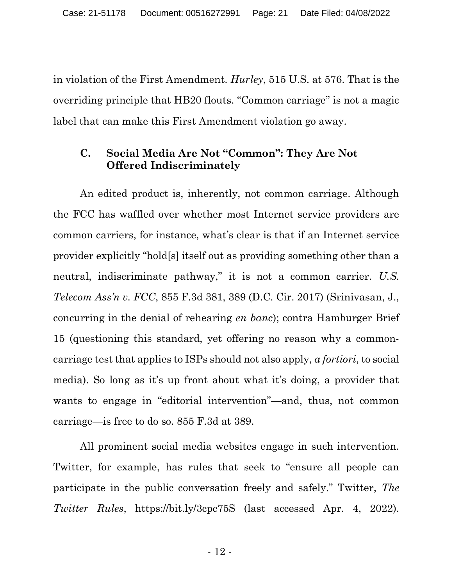in violation of the First Amendment. Hurley, 515 U.S. at 576. That is the overriding principle that HB20 flouts. "Common carriage" is not a magic label that can make this First Amendment violation go away.

## C. Social Media Are Not "Common": They Are Not Offered Indiscriminately

An edited product is, inherently, not common carriage. Although the FCC has waffled over whether most Internet service providers are common carriers, for instance, what's clear is that if an Internet service provider explicitly "hold[s] itself out as providing something other than a neutral, indiscriminate pathway," it is not a common carrier. U.S. Telecom Ass'n v. FCC, 855 F.3d 381, 389 (D.C. Cir. 2017) (Srinivasan, J., concurring in the denial of rehearing en banc); contra Hamburger Brief 15 (questioning this standard, yet offering no reason why a commoncarriage test that applies to ISPs should not also apply, a fortiori, to social media). So long as it's up front about what it's doing, a provider that wants to engage in "editorial intervention"—and, thus, not common carriage—is free to do so. 855 F.3d at 389.

All prominent social media websites engage in such intervention. Twitter, for example, has rules that seek to "ensure all people can participate in the public conversation freely and safely." Twitter, The Twitter Rules, https://bit.ly/3cpc75S (last accessed Apr. 4, 2022).

- 12 -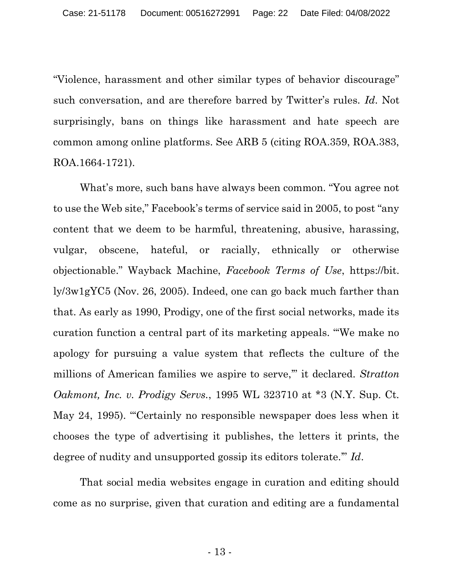"Violence, harassment and other similar types of behavior discourage" such conversation, and are therefore barred by Twitter's rules. Id. Not surprisingly, bans on things like harassment and hate speech are common among online platforms. See ARB 5 (citing ROA.359, ROA.383, ROA.1664-1721).

What's more, such bans have always been common. "You agree not to use the Web site," Facebook's terms of service said in 2005, to post "any content that we deem to be harmful, threatening, abusive, harassing, vulgar, obscene, hateful, or racially, ethnically or otherwise objectionable." Wayback Machine, Facebook Terms of Use, https://bit. ly/3w1gYC5 (Nov. 26, 2005). Indeed, one can go back much farther than that. As early as 1990, Prodigy, one of the first social networks, made its curation function a central part of its marketing appeals. "'We make no apology for pursuing a value system that reflects the culture of the millions of American families we aspire to serve," it declared. Stratton Oakmont, Inc. v. Prodigy Servs., 1995 WL 323710 at \*3 (N.Y. Sup. Ct. May 24, 1995). "'Certainly no responsible newspaper does less when it chooses the type of advertising it publishes, the letters it prints, the degree of nudity and unsupported gossip its editors tolerate." Id.

That social media websites engage in curation and editing should come as no surprise, given that curation and editing are a fundamental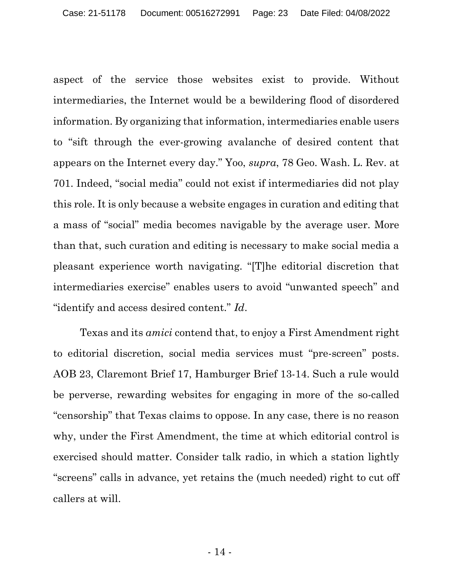aspect of the service those websites exist to provide. Without intermediaries, the Internet would be a bewildering flood of disordered information. By organizing that information, intermediaries enable users to "sift through the ever-growing avalanche of desired content that appears on the Internet every day." Yoo, supra, 78 Geo. Wash. L. Rev. at 701. Indeed, "social media" could not exist if intermediaries did not play this role. It is only because a website engages in curation and editing that a mass of "social" media becomes navigable by the average user. More than that, such curation and editing is necessary to make social media a pleasant experience worth navigating. "[T]he editorial discretion that intermediaries exercise" enables users to avoid "unwanted speech" and "identify and access desired content." Id.

Texas and its amici contend that, to enjoy a First Amendment right to editorial discretion, social media services must "pre-screen" posts. AOB 23, Claremont Brief 17, Hamburger Brief 13-14. Such a rule would be perverse, rewarding websites for engaging in more of the so-called "censorship" that Texas claims to oppose. In any case, there is no reason why, under the First Amendment, the time at which editorial control is exercised should matter. Consider talk radio, in which a station lightly "screens" calls in advance, yet retains the (much needed) right to cut off callers at will.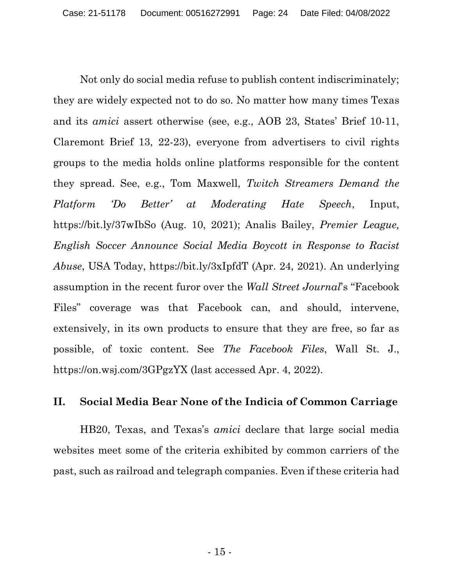Not only do social media refuse to publish content indiscriminately; they are widely expected not to do so. No matter how many times Texas and its amici assert otherwise (see, e.g., AOB 23, States' Brief 10-11, Claremont Brief 13, 22-23), everyone from advertisers to civil rights groups to the media holds online platforms responsible for the content they spread. See, e.g., Tom Maxwell, Twitch Streamers Demand the Platform 'Do Better' at Moderating Hate Speech, Input, https://bit.ly/37wIbSo (Aug. 10, 2021); Analis Bailey, Premier League, English Soccer Announce Social Media Boycott in Response to Racist Abuse, USA Today, https://bit.ly/3xIpfdT (Apr. 24, 2021). An underlying assumption in the recent furor over the Wall Street Journal's "Facebook Files" coverage was that Facebook can, and should, intervene, extensively, in its own products to ensure that they are free, so far as possible, of toxic content. See The Facebook Files, Wall St. J., https://on.wsj.com/3GPgzYX (last accessed Apr. 4, 2022).

### II. Social Media Bear None of the Indicia of Common Carriage

HB20, Texas, and Texas's amici declare that large social media websites meet some of the criteria exhibited by common carriers of the past, such as railroad and telegraph companies. Even if these criteria had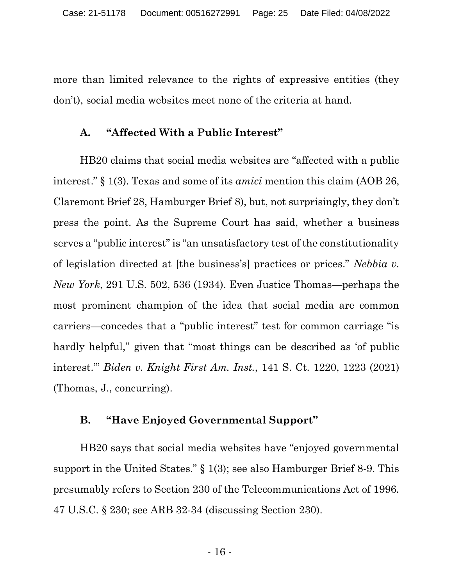more than limited relevance to the rights of expressive entities (they don't), social media websites meet none of the criteria at hand.

### A. "Affected With a Public Interest"

HB20 claims that social media websites are "affected with a public interest." § 1(3). Texas and some of its amici mention this claim (AOB 26, Claremont Brief 28, Hamburger Brief 8), but, not surprisingly, they don't press the point. As the Supreme Court has said, whether a business serves a "public interest" is "an unsatisfactory test of the constitutionality of legislation directed at [the business's] practices or prices." Nebbia v. New York, 291 U.S. 502, 536 (1934). Even Justice Thomas—perhaps the most prominent champion of the idea that social media are common carriers—concedes that a "public interest" test for common carriage "is hardly helpful," given that "most things can be described as 'of public interest.'" Biden v. Knight First Am. Inst., 141 S. Ct. 1220, 1223 (2021) (Thomas, J., concurring).

### B. "Have Enjoyed Governmental Support"

HB20 says that social media websites have "enjoyed governmental support in the United States." § 1(3); see also Hamburger Brief 8-9. This presumably refers to Section 230 of the Telecommunications Act of 1996. 47 U.S.C. § 230; see ARB 32-34 (discussing Section 230).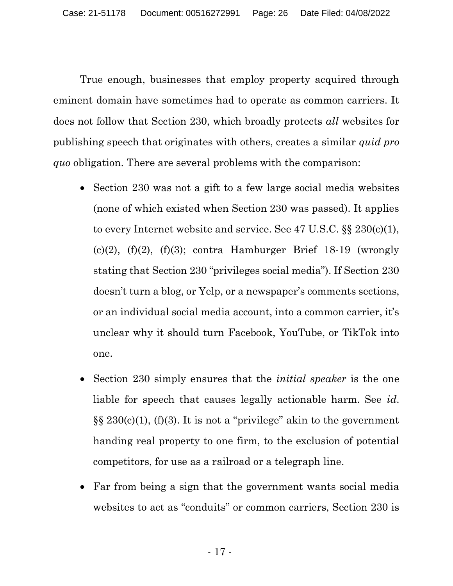True enough, businesses that employ property acquired through eminent domain have sometimes had to operate as common carriers. It does not follow that Section 230, which broadly protects all websites for publishing speech that originates with others, creates a similar quid pro quo obligation. There are several problems with the comparison:

- Section 230 was not a gift to a few large social media websites (none of which existed when Section 230 was passed). It applies to every Internet website and service. See 47 U.S.C. §§ 230(c)(1), (c)(2), (f)(2), (f)(3); contra Hamburger Brief 18-19 (wrongly stating that Section 230 "privileges social media"). If Section 230 doesn't turn a blog, or Yelp, or a newspaper's comments sections, or an individual social media account, into a common carrier, it's unclear why it should turn Facebook, YouTube, or TikTok into one.
- Section 230 simply ensures that the *initial speaker* is the one liable for speech that causes legally actionable harm. See id.  $\S\S 230(c)(1)$ , (f)(3). It is not a "privilege" akin to the government handing real property to one firm, to the exclusion of potential competitors, for use as a railroad or a telegraph line.
- Far from being a sign that the government wants social media websites to act as "conduits" or common carriers, Section 230 is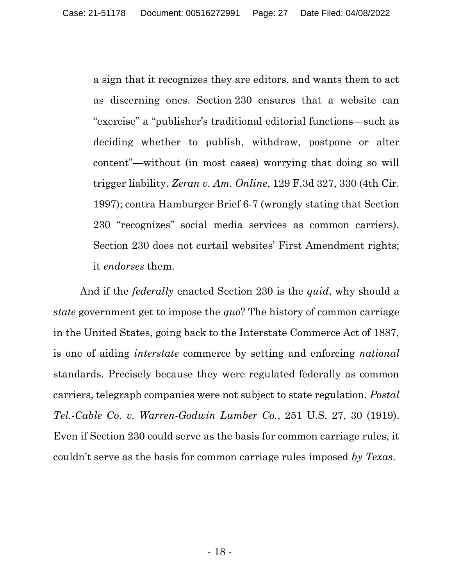a sign that it recognizes they are editors, and wants them to act as discerning ones. Section 230 ensures that a website can "exercise" a "publisher's traditional editorial functions—such as deciding whether to publish, withdraw, postpone or alter content"—without (in most cases) worrying that doing so will trigger liability. Zeran v. Am. Online, 129 F.3d 327, 330 (4th Cir. 1997); contra Hamburger Brief 6-7 (wrongly stating that Section 230 "recognizes" social media services as common carriers). Section 230 does not curtail websites' First Amendment rights; it endorses them.

And if the *federally* enacted Section 230 is the *quid*, why should a state government get to impose the quo? The history of common carriage in the United States, going back to the Interstate Commerce Act of 1887, is one of aiding interstate commerce by setting and enforcing national standards. Precisely because they were regulated federally as common carriers, telegraph companies were not subject to state regulation. Postal Tel.-Cable Co. v. Warren-Godwin Lumber Co., 251 U.S. 27, 30 (1919). Even if Section 230 could serve as the basis for common carriage rules, it couldn't serve as the basis for common carriage rules imposed by Texas.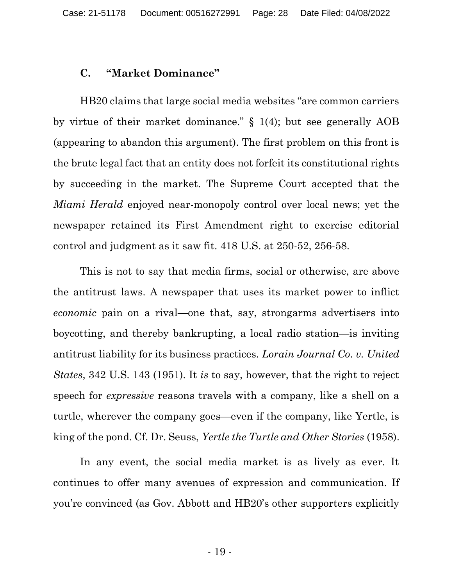#### C. "Market Dominance"

HB20 claims that large social media websites "are common carriers by virtue of their market dominance." § 1(4); but see generally AOB (appearing to abandon this argument). The first problem on this front is the brute legal fact that an entity does not forfeit its constitutional rights by succeeding in the market. The Supreme Court accepted that the Miami Herald enjoyed near-monopoly control over local news; yet the newspaper retained its First Amendment right to exercise editorial control and judgment as it saw fit. 418 U.S. at 250-52, 256-58.

This is not to say that media firms, social or otherwise, are above the antitrust laws. A newspaper that uses its market power to inflict economic pain on a rival—one that, say, strongarms advertisers into boycotting, and thereby bankrupting, a local radio station—is inviting antitrust liability for its business practices. Lorain Journal Co. v. United States, 342 U.S. 143 (1951). It is to say, however, that the right to reject speech for expressive reasons travels with a company, like a shell on a turtle, wherever the company goes—even if the company, like Yertle, is king of the pond. Cf. Dr. Seuss, Yertle the Turtle and Other Stories (1958).

In any event, the social media market is as lively as ever. It continues to offer many avenues of expression and communication. If you're convinced (as Gov. Abbott and HB20's other supporters explicitly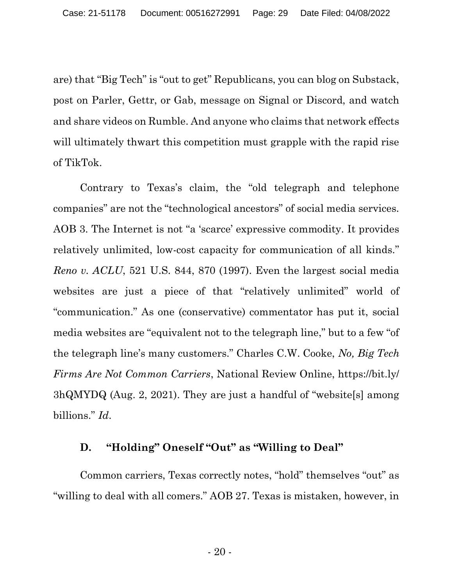are) that "Big Tech" is "out to get" Republicans, you can blog on Substack, post on Parler, Gettr, or Gab, message on Signal or Discord, and watch and share videos on Rumble. And anyone who claims that network effects will ultimately thwart this competition must grapple with the rapid rise of TikTok.

Contrary to Texas's claim, the "old telegraph and telephone companies" are not the "technological ancestors" of social media services. AOB 3. The Internet is not "a 'scarce' expressive commodity. It provides relatively unlimited, low-cost capacity for communication of all kinds." Reno v. ACLU, 521 U.S. 844, 870 (1997). Even the largest social media websites are just a piece of that "relatively unlimited" world of "communication." As one (conservative) commentator has put it, social media websites are "equivalent not to the telegraph line," but to a few "of the telegraph line's many customers." Charles C.W. Cooke, No, Big Tech Firms Are Not Common Carriers, National Review Online, https://bit.ly/ 3hQMYDQ (Aug. 2, 2021). They are just a handful of "website[s] among billions." Id.

### D. "Holding" Oneself "Out" as "Willing to Deal"

Common carriers, Texas correctly notes, "hold" themselves "out" as "willing to deal with all comers." AOB 27. Texas is mistaken, however, in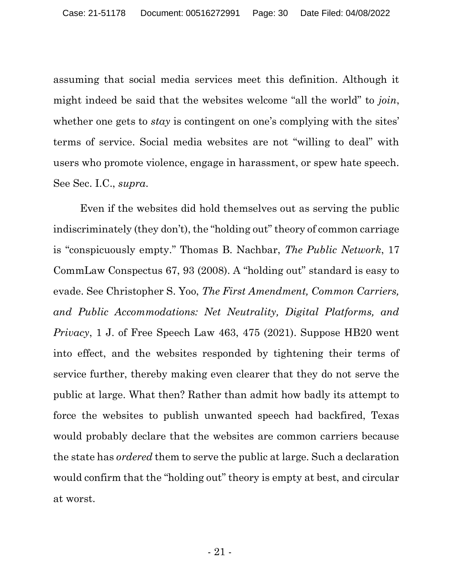assuming that social media services meet this definition. Although it might indeed be said that the websites welcome "all the world" to join, whether one gets to *stay* is contingent on one's complying with the sites' terms of service. Social media websites are not "willing to deal" with users who promote violence, engage in harassment, or spew hate speech. See Sec. I.C., supra.

Even if the websites did hold themselves out as serving the public indiscriminately (they don't), the "holding out" theory of common carriage is "conspicuously empty." Thomas B. Nachbar, The Public Network, 17 CommLaw Conspectus 67, 93 (2008). A "holding out" standard is easy to evade. See Christopher S. Yoo, The First Amendment, Common Carriers, and Public Accommodations: Net Neutrality, Digital Platforms, and Privacy, 1 J. of Free Speech Law 463, 475 (2021). Suppose HB20 went into effect, and the websites responded by tightening their terms of service further, thereby making even clearer that they do not serve the public at large. What then? Rather than admit how badly its attempt to force the websites to publish unwanted speech had backfired, Texas would probably declare that the websites are common carriers because the state has ordered them to serve the public at large. Such a declaration would confirm that the "holding out" theory is empty at best, and circular at worst.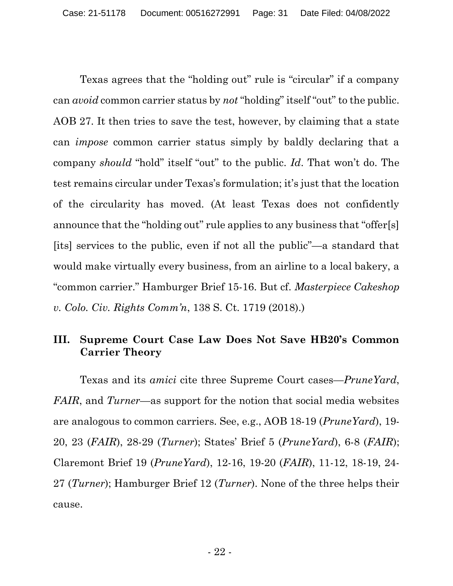Texas agrees that the "holding out" rule is "circular" if a company can avoid common carrier status by not "holding" itself "out" to the public. AOB 27. It then tries to save the test, however, by claiming that a state can impose common carrier status simply by baldly declaring that a company should "hold" itself "out" to the public. Id. That won't do. The test remains circular under Texas's formulation; it's just that the location of the circularity has moved. (At least Texas does not confidently announce that the "holding out" rule applies to any business that "offer[s] [its] services to the public, even if not all the public"—a standard that would make virtually every business, from an airline to a local bakery, a "common carrier." Hamburger Brief 15-16. But cf. Masterpiece Cakeshop v. Colo. Civ. Rights Comm'n, 138 S. Ct. 1719 (2018).)

## III. Supreme Court Case Law Does Not Save HB20's Common Carrier Theory

Texas and its *amici* cite three Supreme Court cases—*PruneYard*, FAIR, and Turner—as support for the notion that social media websites are analogous to common carriers. See, e.g., AOB 18-19 (PruneYard), 19- 20, 23 (FAIR), 28-29 (Turner); States' Brief 5 (PruneYard), 6-8 (FAIR); Claremont Brief 19 (PruneYard), 12-16, 19-20 (FAIR), 11-12, 18-19, 24- 27 (Turner); Hamburger Brief 12 (Turner). None of the three helps their cause.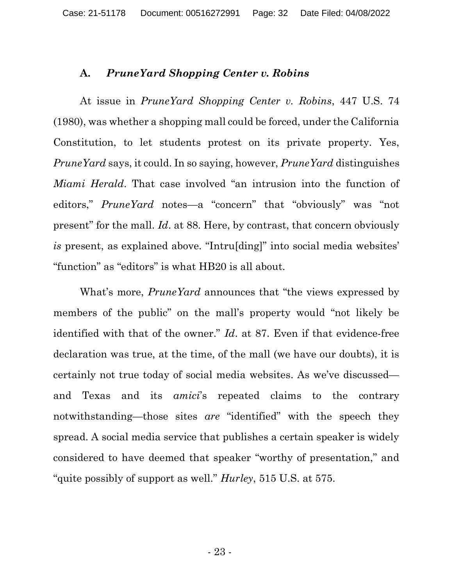#### A. PruneYard Shopping Center v. Robins

At issue in PruneYard Shopping Center v. Robins, 447 U.S. 74 (1980), was whether a shopping mall could be forced, under the California Constitution, to let students protest on its private property. Yes, PruneYard says, it could. In so saying, however, PruneYard distinguishes Miami Herald. That case involved "an intrusion into the function of editors," PruneYard notes—a "concern" that "obviously" was "not present" for the mall. Id. at 88. Here, by contrast, that concern obviously is present, as explained above. "Intru[ding]" into social media websites' "function" as "editors" is what HB20 is all about.

What's more, *PruneYard* announces that "the views expressed by members of the public" on the mall's property would "not likely be identified with that of the owner." *Id.* at 87. Even if that evidence-free declaration was true, at the time, of the mall (we have our doubts), it is certainly not true today of social media websites. As we've discussed and Texas and its amici's repeated claims to the contrary notwithstanding—those sites are "identified" with the speech they spread. A social media service that publishes a certain speaker is widely considered to have deemed that speaker "worthy of presentation," and "quite possibly of support as well." Hurley, 515 U.S. at 575.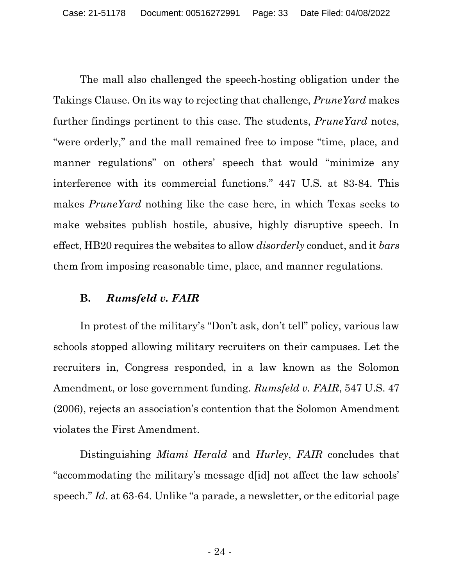The mall also challenged the speech-hosting obligation under the Takings Clause. On its way to rejecting that challenge, PruneYard makes further findings pertinent to this case. The students, *PruneYard* notes, "were orderly," and the mall remained free to impose "time, place, and manner regulations" on others' speech that would "minimize any interference with its commercial functions." 447 U.S. at 83-84. This makes PruneYard nothing like the case here, in which Texas seeks to make websites publish hostile, abusive, highly disruptive speech. In effect, HB20 requires the websites to allow *disorderly* conduct, and it *bars* them from imposing reasonable time, place, and manner regulations.

### B. Rumsfeld v. FAIR

In protest of the military's "Don't ask, don't tell" policy, various law schools stopped allowing military recruiters on their campuses. Let the recruiters in, Congress responded, in a law known as the Solomon Amendment, or lose government funding. *Rumsfeld v. FAIR*, 547 U.S. 47 (2006), rejects an association's contention that the Solomon Amendment violates the First Amendment.

Distinguishing Miami Herald and Hurley, FAIR concludes that "accommodating the military's message d[id] not affect the law schools' speech." Id. at 63-64. Unlike "a parade, a newsletter, or the editorial page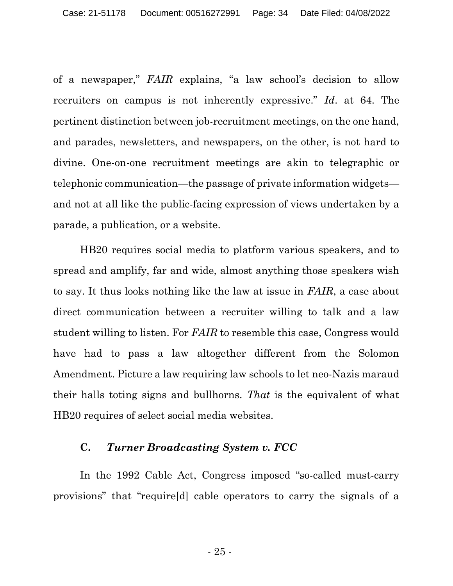of a newspaper," FAIR explains, "a law school's decision to allow recruiters on campus is not inherently expressive." Id. at 64. The pertinent distinction between job-recruitment meetings, on the one hand, and parades, newsletters, and newspapers, on the other, is not hard to divine. One-on-one recruitment meetings are akin to telegraphic or telephonic communication—the passage of private information widgets and not at all like the public-facing expression of views undertaken by a parade, a publication, or a website.

HB20 requires social media to platform various speakers, and to spread and amplify, far and wide, almost anything those speakers wish to say. It thus looks nothing like the law at issue in FAIR, a case about direct communication between a recruiter willing to talk and a law student willing to listen. For FAIR to resemble this case, Congress would have had to pass a law altogether different from the Solomon Amendment. Picture a law requiring law schools to let neo-Nazis maraud their halls toting signs and bullhorns. That is the equivalent of what HB20 requires of select social media websites.

#### C. Turner Broadcasting System v. FCC

In the 1992 Cable Act, Congress imposed "so-called must-carry provisions" that "require[d] cable operators to carry the signals of a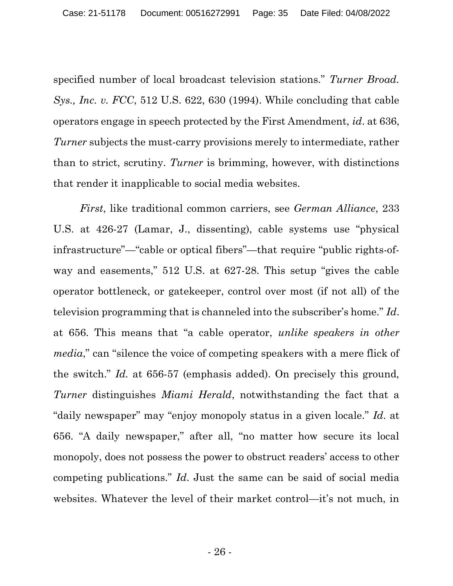specified number of local broadcast television stations." Turner Broad. Sys., Inc. v. FCC, 512 U.S. 622, 630 (1994). While concluding that cable operators engage in speech protected by the First Amendment, id. at 636, Turner subjects the must-carry provisions merely to intermediate, rather than to strict, scrutiny. Turner is brimming, however, with distinctions that render it inapplicable to social media websites.

First, like traditional common carriers, see German Alliance, 233 U.S. at 426-27 (Lamar, J., dissenting), cable systems use "physical infrastructure"—"cable or optical fibers"—that require "public rights-ofway and easements," 512 U.S. at 627-28. This setup "gives the cable operator bottleneck, or gatekeeper, control over most (if not all) of the television programming that is channeled into the subscriber's home." Id. at 656. This means that "a cable operator, unlike speakers in other media," can "silence the voice of competing speakers with a mere flick of the switch." Id. at 656-57 (emphasis added). On precisely this ground, Turner distinguishes Miami Herald, notwithstanding the fact that a "daily newspaper" may "enjoy monopoly status in a given locale." Id. at 656. "A daily newspaper," after all, "no matter how secure its local monopoly, does not possess the power to obstruct readers' access to other competing publications." Id. Just the same can be said of social media websites. Whatever the level of their market control—it's not much, in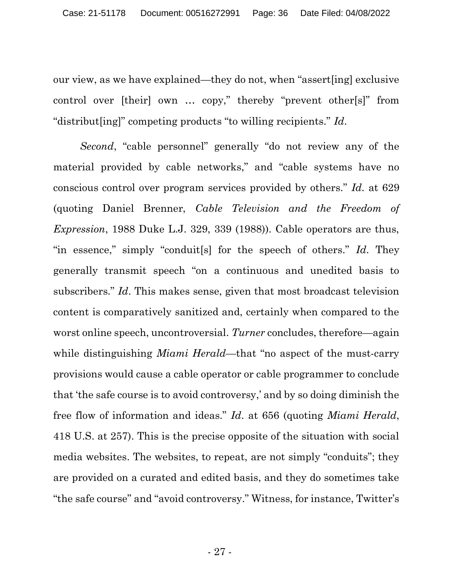our view, as we have explained—they do not, when "assert[ing] exclusive control over [their] own … copy," thereby "prevent other[s]" from "distribut[ing]" competing products "to willing recipients." Id.

Second, "cable personnel" generally "do not review any of the material provided by cable networks," and "cable systems have no conscious control over program services provided by others." Id. at 629 (quoting Daniel Brenner, Cable Television and the Freedom of Expression, 1988 Duke L.J. 329, 339 (1988)). Cable operators are thus, "in essence," simply "conduit [s] for the speech of others." Id. They generally transmit speech "on a continuous and unedited basis to subscribers." Id. This makes sense, given that most broadcast television content is comparatively sanitized and, certainly when compared to the worst online speech, uncontroversial. Turner concludes, therefore—again while distinguishing *Miami Herald*—that "no aspect of the must-carry provisions would cause a cable operator or cable programmer to conclude that 'the safe course is to avoid controversy,' and by so doing diminish the free flow of information and ideas." Id. at 656 (quoting Miami Herald, 418 U.S. at 257). This is the precise opposite of the situation with social media websites. The websites, to repeat, are not simply "conduits"; they are provided on a curated and edited basis, and they do sometimes take "the safe course" and "avoid controversy." Witness, for instance, Twitter's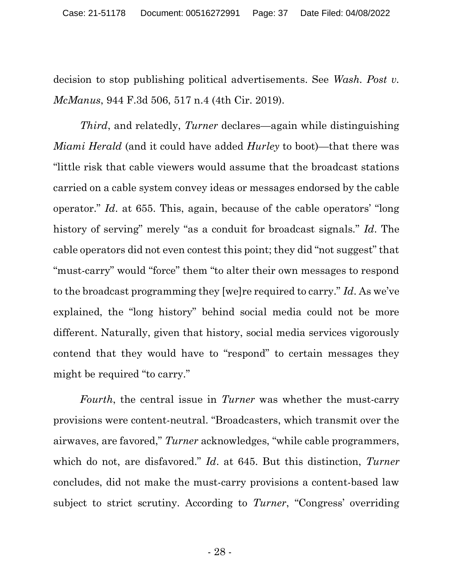decision to stop publishing political advertisements. See Wash. Post v. McManus, 944 F.3d 506, 517 n.4 (4th Cir. 2019).

Third, and relatedly, Turner declares—again while distinguishing *Miami Herald* (and it could have added *Hurley* to boot)—that there was "little risk that cable viewers would assume that the broadcast stations carried on a cable system convey ideas or messages endorsed by the cable operator." Id. at 655. This, again, because of the cable operators' "long history of serving" merely "as a conduit for broadcast signals." Id. The cable operators did not even contest this point; they did "not suggest" that "must-carry" would "force" them "to alter their own messages to respond to the broadcast programming they [we]re required to carry." Id. As we've explained, the "long history" behind social media could not be more different. Naturally, given that history, social media services vigorously contend that they would have to "respond" to certain messages they might be required "to carry."

Fourth, the central issue in Turner was whether the must-carry provisions were content-neutral. "Broadcasters, which transmit over the airwaves, are favored," Turner acknowledges, "while cable programmers, which do not, are disfavored." Id. at 645. But this distinction, Turner concludes, did not make the must-carry provisions a content-based law subject to strict scrutiny. According to *Turner*, "Congress' overriding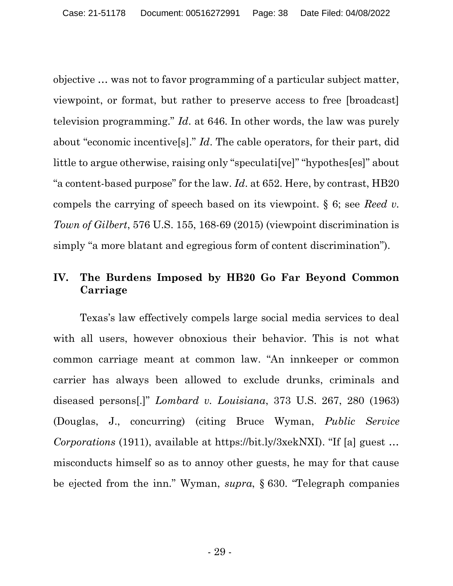objective … was not to favor programming of a particular subject matter, viewpoint, or format, but rather to preserve access to free [broadcast] television programming." Id. at 646. In other words, the law was purely about "economic incentive[s]." Id. The cable operators, for their part, did little to argue otherwise, raising only "speculati[ve]" "hypothes[es]" about "a content-based purpose" for the law. Id. at  $652$ . Here, by contrast, HB20 compels the carrying of speech based on its viewpoint.  $\S 6$ ; see Reed v. Town of Gilbert, 576 U.S. 155, 168-69 (2015) (viewpoint discrimination is simply "a more blatant and egregious form of content discrimination").

## IV. The Burdens Imposed by HB20 Go Far Beyond Common Carriage

Texas's law effectively compels large social media services to deal with all users, however obnoxious their behavior. This is not what common carriage meant at common law. "An innkeeper or common carrier has always been allowed to exclude drunks, criminals and diseased persons[.]" Lombard v. Louisiana, 373 U.S. 267, 280 (1963) (Douglas, J., concurring) (citing Bruce Wyman, Public Service Corporations (1911), available at https://bit.ly/3xekNXI). "If [a] guest … misconducts himself so as to annoy other guests, he may for that cause be ejected from the inn." Wyman, supra, § 630. "Telegraph companies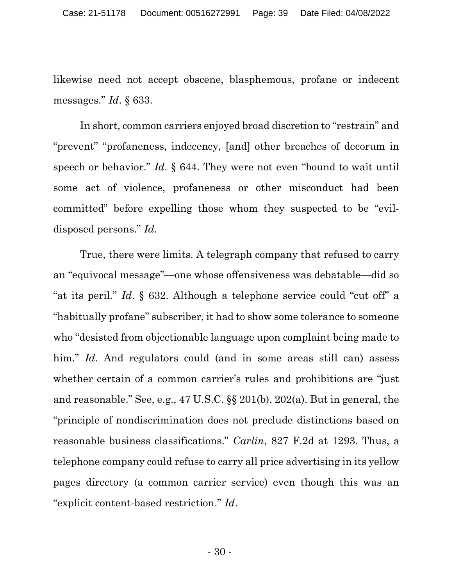likewise need not accept obscene, blasphemous, profane or indecent messages." Id. § 633.

In short, common carriers enjoyed broad discretion to "restrain" and "prevent" "profaneness, indecency, [and] other breaches of decorum in speech or behavior." Id. § 644. They were not even "bound to wait until some act of violence, profaneness or other misconduct had been committed" before expelling those whom they suspected to be "evildisposed persons." Id.

True, there were limits. A telegraph company that refused to carry an "equivocal message"—one whose offensiveness was debatable—did so "at its peril." Id. § 632. Although a telephone service could "cut off" a "habitually profane" subscriber, it had to show some tolerance to someone who "desisted from objectionable language upon complaint being made to him." Id. And regulators could (and in some areas still can) assess whether certain of a common carrier's rules and prohibitions are "just" and reasonable." See, e.g., 47 U.S.C. §§ 201(b), 202(a). But in general, the "principle of nondiscrimination does not preclude distinctions based on reasonable business classifications." Carlin, 827 F.2d at 1293. Thus, a telephone company could refuse to carry all price advertising in its yellow pages directory (a common carrier service) even though this was an "explicit content-based restriction." Id.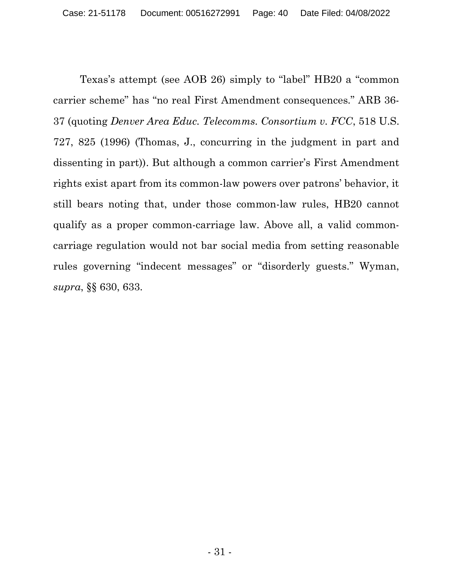Texas's attempt (see AOB 26) simply to "label" HB20 a "common carrier scheme" has "no real First Amendment consequences." ARB 36- 37 (quoting Denver Area Educ. Telecomms. Consortium v. FCC, 518 U.S. 727, 825 (1996) (Thomas, J., concurring in the judgment in part and dissenting in part)). But although a common carrier's First Amendment rights exist apart from its common-law powers over patrons' behavior, it still bears noting that, under those common-law rules, HB20 cannot qualify as a proper common-carriage law. Above all, a valid commoncarriage regulation would not bar social media from setting reasonable rules governing "indecent messages" or "disorderly guests." Wyman, supra, §§ 630, 633.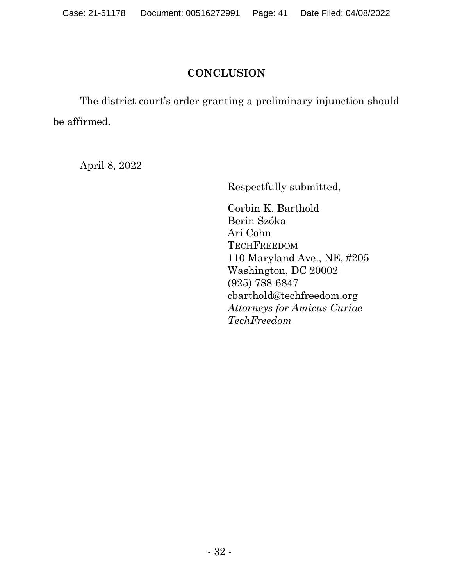## **CONCLUSION**

The district court's order granting a preliminary injunction should be affirmed.

April 8, 2022

Respectfully submitted,

Corbin K. Barthold Berin Szóka Ari Cohn **TECHFREEDOM** 110 Maryland Ave., NE, #205 Washington, DC 20002 (925) 788-6847 cbarthold@techfreedom.org Attorneys for Amicus Curiae TechFreedom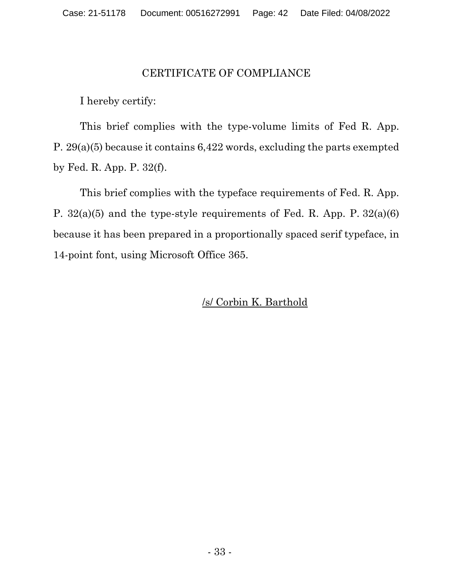### CERTIFICATE OF COMPLIANCE

I hereby certify:

This brief complies with the type-volume limits of Fed R. App. P. 29(a)(5) because it contains 6,422 words, excluding the parts exempted by Fed. R. App. P. 32(f).

This brief complies with the typeface requirements of Fed. R. App. P. 32(a)(5) and the type-style requirements of Fed. R. App. P. 32(a)(6) because it has been prepared in a proportionally spaced serif typeface, in 14-point font, using Microsoft Office 365.

/s/ Corbin K. Barthold